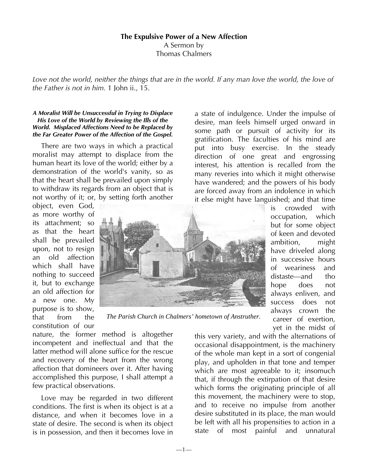# **The Expulsive Power of a New Affection**  A Sermon by Thomas Chalmers

Love not the world, neither the things that are in the world. If any man love the world, the love of *the Father is not in him.* 1 John ii., 15.

#### *A Moralist Will be Unsuccessful in Trying to Displace His Love of the World by Reviewing the Ills of the World. Misplaced Affections Need to be Replaced by the Far Greater Power of the Affection of the Gospel.*

There are two ways in which a practical moralist may attempt to displace from the human heart its love of the world; either by a demonstration of the world's vanity, so as that the heart shall be prevailed upon simply to withdraw its regards from an object that is not worthy of it; or, by setting forth another

object, even God, as more worthy of its attachment; so as that the heart shall be prevailed upon, not to resign an old affection which shall have nothing to succeed it, but to exchange an old affection for a new one. My purpose is to show, that from the constitution of our



*The Parish Church in Chalmers' hometown of Anstruther.* 

nature, the former method is altogether incompetent and ineffectual and that the latter method will alone suffice for the rescue and recovery of the heart from the wrong affection that domineers over it. After having accomplished this purpose, I shall attempt a few practical observations.

Love may be regarded in two different conditions. The first is when its object is at a distance, and when it becomes love in a state of desire. The second is when its object is in possession, and then it becomes love in a state of indulgence. Under the impulse of desire, man feels himself urged onward in some path or pursuit of activity for its gratification. The faculties of his mind are put into busy exercise. In the steady direction of one great and engrossing interest, his attention is recalled from the many reveries into which it might otherwise have wandered; and the powers of his body are forced away from an indolence in which it else might have languished; and that time

> is crowded with occupation, which but for some object of keen and devoted ambition, might have driveled along in successive hours of weariness and distaste—and tho hope does not always enliven, and success does not always crown the career of exertion, yet in the midst of

this very variety, and with the alternations of occasional disappointment, is the machinery of the whole man kept in a sort of congenial play, and upholden in that tone and temper which are most agreeable to it; insomuch that, if through the extirpation of that desire which forms the originating principle of all this movement, the machinery were to stop, and to receive no impulse from another desire substituted in its place, the man would be left with all his propensities to action in a state of most painful and unnatural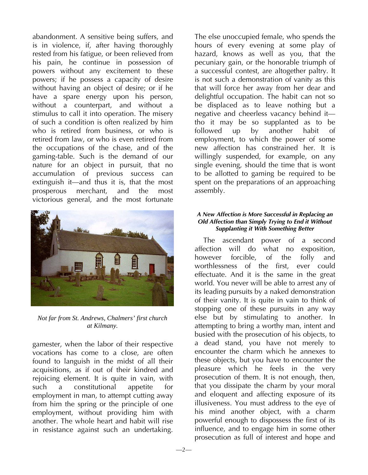abandonment. A sensitive being suffers, and is in violence, if, after having thoroughly rested from his fatigue, or been relieved from his pain, he continue in possession of powers without any excitement to these powers; if he possess a capacity of desire without having an object of desire; or if he have a spare energy upon his person, without a counterpart, and without a stimulus to call it into operation. The misery of such a condition is often realized by him who is retired from business, or who is retired from law, or who is even retired from the occupations of the chase, and of the gaming-table. Such is the demand of our nature for an object in pursuit, that no accumulation of previous success can extinguish it—and thus it is, that the most prosperous merchant, and the most victorious general, and the most fortunate



*Not far from St. Andrews, Chalmers' first church at Kilmany.* 

gamester, when the labor of their respective vocations has come to a close, are often found to languish in the midst of all their acquisitions, as if out of their kindred and rejoicing element. It is quite in vain, with such a constitutional appetite for employment in man, to attempt cutting away from him the spring or the principle of one employment, without providing him with another. The whole heart and habit will rise in resistance against such an undertaking.

The else unoccupied female, who spends the hours of every evening at some play of hazard, knows as well as you, that the pecuniary gain, or the honorable triumph of a successful contest, are altogether paltry. It is not such a demonstration of vanity as this that will force her away from her dear and delightful occupation. The habit can not so be displaced as to leave nothing but a negative and cheerless vacancy behind it tho it may be so supplanted as to be followed up by another habit of employment, to which the power of some new affection has constrained her. It is willingly suspended, for example, on any single evening, should the time that is wont to be allotted to gaming be required to be spent on the preparations of an approaching assembly.

# *A New Affection is More Successful in Replacing an Old Affection than Simply Trying to End it Without Supplanting it With Something Better*

The ascendant power of a second affection will do what no exposition, however forcible, of the folly and worthlessness of the first, ever could effectuate. And it is the same in the great world. You never will be able to arrest any of its leading pursuits by a naked demonstration of their vanity. It is quite in vain to think of stopping one of these pursuits in any way else but by stimulating to another. In attempting to bring a worthy man, intent and busied with the prosecution of his objects, to a dead stand, you have not merely to encounter the charm which he annexes to these objects, but you have to encounter the pleasure which he feels in the very prosecution of them. It is not enough, then, that you dissipate the charm by your moral and eloquent and affecting exposure of its illusiveness. You must address to the eye of his mind another object, with a charm powerful enough to dispossess the first of its influence, and to engage him in some other prosecution as full of interest and hope and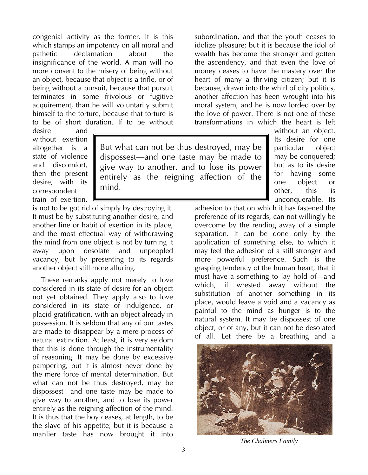congenial activity as the former. It is this which stamps an impotency on all moral and pathetic declamation about the insignificance of the world. A man will no more consent to the misery of being without an object, because that object is a trifle, or of being without a pursuit, because that pursuit terminates in some frivolous or fugitive acquirement, than he will voluntarily submit himself to the torture, because that torture is to be of short duration. If to be without

desire and without exertion altogether is a state of violence and discomfort, then the present desire, with its correspondent train of exertion,

But what can not be thus destroyed, may be dispossest—and one taste may be made to give way to another, and to lose its power entirely as the reigning affection of the mind.

 $-3-$ 

is not to be got rid of simply by destroying it. It must be by substituting another desire, and another line or habit of exertion in its place, and the most effectual way of withdrawing the mind from one object is not by turning it away upon desolate and unpeopled vacancy, but by presenting to its regards another object still more alluring.

These remarks apply not merely to love considered in its state of desire for an object not yet obtained. They apply also to love considered in its state of indulgence, or placid gratification, with an object already in possession. It is seldom that any of our tastes are made to disappear by a mere process of natural extinction. At least, it is very seldom that this is done through the instrumentality of reasoning. It may be done by excessive pampering, but it is almost never done by the mere force of mental determination. But what can not be thus destroyed, may be dispossest—and one taste may be made to give way to another, and to lose its power entirely as the reigning affection of the mind. It is thus that the boy ceases, at length, to be the slave of his appetite; but it is because a manlier taste has now brought it into

subordination, and that the youth ceases to idolize pleasure; but it is because the idol of wealth has become the stronger and gotten the ascendency, and that even the love of money ceases to have the mastery over the heart of many a thriving citizen; but it is because, drawn into the whirl of city politics, another affection has been wrought into his moral system, and he is now lorded over by the love of power. There is not one of these transformations in which the heart is left

> without an object. Its desire for one particular object may be conquered; but as to its desire for having some one object or other, this is unconquerable. Its

adhesion to that on which it has fastened the preference of its regards, can not willingly be overcome by the rending away of a simple separation. It can be done only by the application of something else, to which it may feel the adhesion of a still stronger and more powerful preference. Such is the grasping tendency of the human heart, that it must have a something to lay hold of—and which, if wrested away without the substitution of another something in its place, would leave a void and a vacancy as painful to the mind as hunger is to the natural system. It may be dispossest of one object, or of any, but it can not be desolated of all. Let there be a breathing and a



*The Chalmers Family*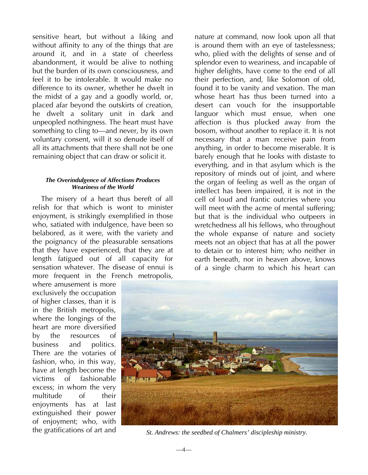sensitive heart, but without a liking and without affinity to any of the things that are around it, and in a state of cheerless abandonment, it would be alive to nothing but the burden of its own consciousness, and feel it to be intolerable. It would make no difference to its owner, whether he dwelt in the midst of a gay and a goodly world, or, placed afar beyond the outskirts of creation, he dwelt a solitary unit in dark and unpeopled nothingness. The heart must have something to cling to—and never, by its own voluntary consent, will it so denude itself of all its attachments that there shall not be one remaining object that can draw or solicit it.

### *The Overindulgence of Affections Produces Weariness of the World*

The misery of a heart thus bereft of all relish for that which is wont to minister enjoyment, is strikingly exemplified in those who, satiated with indulgence, have been so belabored, as it were, with the variety and the poignancy of the pleasurable sensations that they have experienced, that they are at length fatigued out of all capacity for sensation whatever. The disease of ennui is more frequent in the French metropolis,

where amusement is more exclusively the occupation of higher classes, than it is in the British metropolis, where the longings of the heart are more diversified by the resources of business and politics. There are the votaries of fashion, who, in this way, have at length become the victims of fashionable excess; in whom the very multitude of their enjoyments has at last extinguished their power of enjoyment; who, with the gratifications of art and

nature at command, now look upon all that is around them with an eye of tastelessness; who, plied with the delights of sense and of splendor even to weariness, and incapable of higher delights, have come to the end of all their perfection, and, like Solomon of old, found it to be vanity and vexation. The man whose heart has thus been turned into a desert can vouch for the insupportable languor which must ensue, when one affection is thus plucked away from the bosom, without another to replace it. It is not necessary that a man receive pain from anything, in order to become miserable. It is barely enough that he looks with distaste to everything, and in that asylum which is the repository of minds out of joint, and where the organ of feeling as well as the organ of intellect has been impaired, it is not in the cell of loud and frantic outcries where you will meet with the acme of mental suffering; but that is the individual who outpeers in wretchedness all his fellows, who throughout the whole expanse of nature and society meets not an object that has at all the power to detain or to interest him; who neither in earth beneath, nor in heaven above, knows of a single charm to which his heart can



*St. Andrews: the seedbed of Chalmers' discipleship ministry.*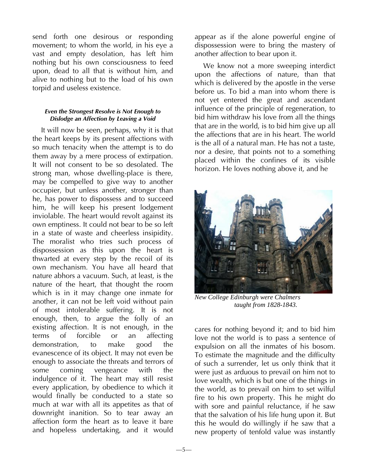send forth one desirous or responding movement; to whom the world, in his eye a vast and empty desolation, has left him nothing but his own consciousness to feed upon, dead to all that is without him, and alive to nothing but to the load of his own torpid and useless existence.

## *Even the Strongest Resolve is Not Enough to Dislodge an Affection by Leaving a Void*

It will now be seen, perhaps, why it is that the heart keeps by its present affections with so much tenacity when the attempt is to do them away by a mere process of extirpation. It will not consent to be so desolated. The strong man, whose dwelling-place is there, may be compelled to give way to another occupier, but unless another, stronger than he, has power to dispossess and to succeed him, he will keep his present lodgement inviolable. The heart would revolt against its own emptiness. It could not bear to be so left in a state of waste and cheerless insipidity. The moralist who tries such process of dispossession as this upon the heart is thwarted at every step by the recoil of its own mechanism. You have all heard that nature abhors a vacuum. Such, at least, is the nature of the heart, that thought the room which is in it may change one inmate for another, it can not be left void without pain of most intolerable suffering. It is not enough, then, to argue the folly of an existing affection. It is not enough, in the terms of forcible or an affecting demonstration, to make good the evanescence of its object. It may not even be enough to associate the threats and terrors of some coming vengeance with the indulgence of it. The heart may still resist every application, by obedience to which it would finally be conducted to a state so much at war with all its appetites as that of downright inanition. So to tear away an affection form the heart as to leave it bare and hopeless undertaking, and it would

appear as if the alone powerful engine of dispossession were to bring the mastery of another affection to bear upon it.

We know not a more sweeping interdict upon the affections of nature, than that which is delivered by the apostle in the verse before us. To bid a man into whom there is not yet entered the great and ascendant influence of the principle of regeneration, to bid him withdraw his love from all the things that are in the world, is to bid him give up all the affections that are in his heart. The world is the all of a natural man. He has not a taste, nor a desire, that points not to a something placed within the confines of its visible horizon. He loves nothing above it, and he



*New College Edinburgh were Chalmers taught from 1828-1843.* 

cares for nothing beyond it; and to bid him love not the world is to pass a sentence of expulsion on all the inmates of his bosom. To estimate the magnitude and the difficulty of such a surrender, let us only think that it were just as arduous to prevail on him not to love wealth, which is but one of the things in the world, as to prevail on him to set wilful fire to his own property. This he might do with sore and painful reluctance, if he saw that the salvation of his life hung upon it. But this he would do willingly if he saw that a new property of tenfold value was instantly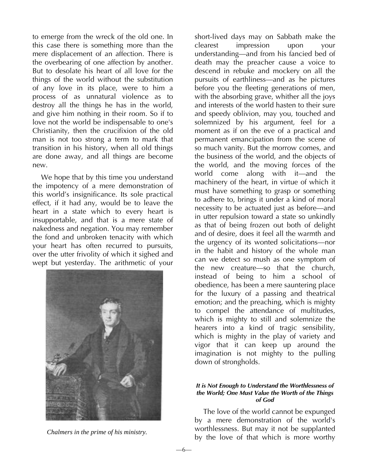to emerge from the wreck of the old one. In this case there is something more than the mere displacement of an affection. There is the overbearing of one affection by another. But to desolate his heart of all love for the things of the world without the substitution of any love in its place, were to him a process of as unnatural violence as to destroy all the things he has in the world, and give him nothing in their room. So if to love not the world be indispensable to one's Christianity, then the crucifixion of the old man is not too strong a term to mark that transition in his history, when all old things are done away, and all things are become new.

We hope that by this time you understand the impotency of a mere demonstration of this world's insignificance. Its sole practical effect, if it had any, would be to leave the heart in a state which to every heart is insupportable, and that is a mere state of nakedness and negation. You may remember the fond and unbroken tenacity with which your heart has often recurred to pursuits, over the utter frivolity of which it sighed and wept but yesterday. The arithmetic of your



short-lived days may on Sabbath make the clearest impression upon your understanding—and from his fancied bed of death may the preacher cause a voice to descend in rebuke and mockery on all the pursuits of earthliness—and as he pictures before you the fleeting generations of men, with the absorbing grave, whither all the joys and interests of the world hasten to their sure and speedy oblivion, may you, touched and solemnized by his argument, feel for a moment as if on the eve of a practical and permanent emancipation from the scene of so much vanity. But the morrow comes, and the business of the world, and the objects of the world, and the moving forces of the world come along with it—and the machinery of the heart, in virtue of which it must have something to grasp or something to adhere to, brings it under a kind of moral necessity to be actuated just as before—and in utter repulsion toward a state so unkindly as that of being frozen out both of delight and of desire, does it feel all the warmth and the urgency of its wonted solicitations—nor in the habit and history of the whole man can we detect so mush as one symptom of the new creature—so that the church, instead of being to him a school of obedience, has been a mere sauntering place for the luxury of a passing and theatrical emotion; and the preaching, which is mighty to compel the attendance of multitudes, which is mighty to still and solemnize the hearers into a kind of tragic sensibility, which is mighty in the play of variety and vigor that it can keep up around the imagination is not mighty to the pulling down of strongholds.

## *It is Not Enough to Understand the Worthlessness of the World; One Must Value the Worth of the Things of God*

The love of the world cannot be expunged by a mere demonstration of the world's worthlessness. But may it not be supplanted *Chalmers in the prime of his ministry.*<br>by the love of that which is more worthy

—6—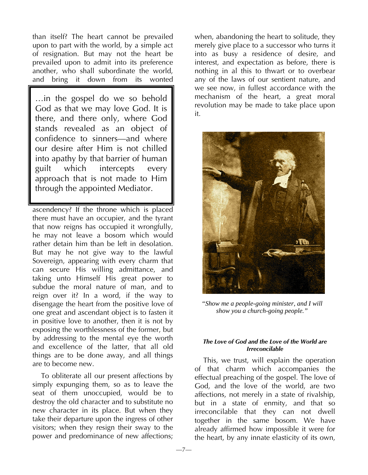than itself? The heart cannot be prevailed upon to part with the world, by a simple act of resignation. But may not the heart be prevailed upon to admit into its preference another, who shall subordinate the world, and bring it down from its wonted

…in the gospel do we so behold God as that we may love God. It is there, and there only, where God stands revealed as an object of confidence to sinners—and where our desire after Him is not chilled into apathy by that barrier of human guilt which intercepts every approach that is not made to Him through the appointed Mediator.

ascendency? If the throne which is placed there must have an occupier, and the tyrant that now reigns has occupied it wrongfully, he may not leave a bosom which would rather detain him than be left in desolation. But may he not give way to the lawful Sovereign, appearing with every charm that can secure His willing admittance, and taking unto Himself His great power to subdue the moral nature of man, and to reign over it? In a word, if the way to disengage the heart from the positive love of one great and ascendant object is to fasten it in positive love to another, then it is not by exposing the worthlessness of the former, but by addressing to the mental eye the worth and excellence of the latter, that all old things are to be done away, and all things are to become new.

To obliterate all our present affections by simply expunging them, so as to leave the seat of them unoccupied, would be to destroy the old character and to substitute no new character in its place. But when they take their departure upon the ingress of other visitors; when they resign their sway to the power and predominance of new affections;

when, abandoning the heart to solitude, they merely give place to a successor who turns it into as busy a residence of desire, and interest, and expectation as before, there is nothing in al this to thwart or to overbear any of the laws of our sentient nature, and we see now, in fullest accordance with the mechanism of the heart, a great moral revolution may be made to take place upon it.



*"Show me a people-going minister, and I will show you a church-going people."* 

## *The Love of God and the Love of the World are Irreconcilable*

This, we trust, will explain the operation of that charm which accompanies the effectual preaching of the gospel. The love of God, and the love of the world, are two affections, not merely in a state of rivalship, but in a state of enmity, and that so irreconcilable that they can not dwell together in the same bosom. We have already affirmed how impossible it were for the heart, by any innate elasticity of its own,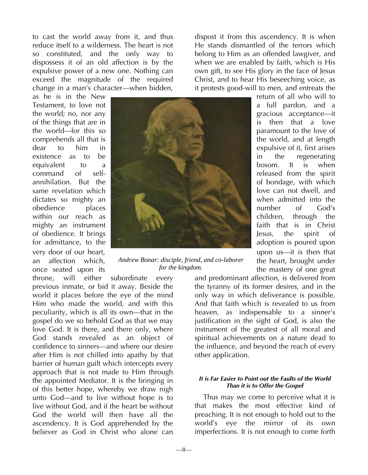to cast the world away from it, and thus reduce itself to a wilderness. The heart is not so constituted, and the only way to dispossess it of an old affection is by the expulsive power of a new one. Nothing can exceed the magnitude of the required change in a man's character—when bidden,

as he is in the New Testament, to love not the world; no, nor any of the things that are in the world—for this so comprehends all that is dear to him in existence as to be equivalent to a command of selfannihilation. But the same revelation which dictates so mighty an obedience places within our reach as mighty an instrument of obedience. It brings for admittance, to the very door of our heart, an affection which, once seated upon its



*Andrew Bonar: disciple, friend, and co-laborer for the kingdom.* 

throne, will either subordinate every previous inmate, or bid it away. Beside the world it places before the eye of the mind Him who made the world, and with this peculiarity, which is all its own—that in the gospel do we so behold God as that we may love God. It is there, and there only, where God stands revealed as an object of confidence to sinners—and where our desire after Him is not chilled into apathy by that barrier of human guilt which intercepts every approach that is not made to Him through the appointed Mediator. It is the bringing in of this better hope, whereby we draw nigh unto God—and to live without hope is to live without God, and if the heart be without God the world will then have all the ascendency. It is God apprehended by the believer as God in Christ who alone can

dispost it from this ascendency. It is when He stands dismantled of the terrors which belong to Him as an offended lawgiver, and when we are enabled by faith, which is His own gift, to see His glory in the face of Jesus Christ, and to hear His beseeching voice, as it protests good-will to men, and entreats the

> return of all who will to a full pardon, and a gracious acceptance—it is then that a love paramount to the love of the world, and at length expulsive of it, first arises in the regenerating bosom. It is when released from the spirit of bondage, with which love can not dwell, and when admitted into the number of God's children, through the faith that is in Christ Jesus, the spirit of adoption is poured upon upon us—it is then that the heart, brought under the mastery of one great

and predominant affection, is delivered from the tyranny of its former desires, and in the only way in which deliverance is possible. And that faith which is revealed to us from heaven, as indispensable to a sinner's justification in the sight of God, is also the instrument of the greatest of all moral and spiritual achievements on a nature dead to the influence, and beyond the reach of every other application.

#### *It is Far Easier to Point out the Faults of the World Than it is to Offer the Gospel*

Thus may we come to perceive what it is that makes the most effective kind of preaching. It is not enough to hold out to the world's eye the mirror of its own imperfections. It is not enough to come forth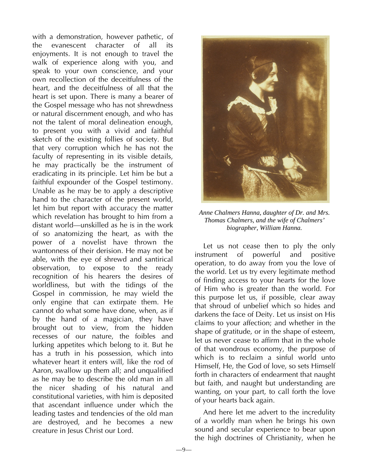with a demonstration, however pathetic, of the evanescent character of all its enjoyments. It is not enough to travel the walk of experience along with you, and speak to your own conscience, and your own recollection of the deceitfulness of the heart, and the deceitfulness of all that the heart is set upon. There is many a bearer of the Gospel message who has not shrewdness or natural discernment enough, and who has not the talent of moral delineation enough, to present you with a vivid and faithful sketch of the existing follies of society. But that very corruption which he has not the faculty of representing in its visible details, he may practically be the instrument of eradicating in its principle. Let him be but a faithful expounder of the Gospel testimony. Unable as he may be to apply a descriptive hand to the character of the present world, let him but report with accuracy the matter which revelation has brought to him from a distant world—unskilled as he is in the work of so anatomizing the heart, as with the power of a novelist have thrown the wantonness of their derision. He may not be able, with the eye of shrewd and santirical observation, to expose to the ready recognition of his hearers the desires of worldliness, but with the tidings of the Gospel in commission, he may wield the only engine that can extirpate them. He cannot do what some have done, when, as if by the hand of a magician, they have brought out to view, from the hidden recesses of our nature, the foibles and lurking appetites which belong to it. But he has a truth in his possession, which into whatever heart it enters will, like the rod of Aaron, swallow up them all; and unqualified as he may be to describe the old man in all the nicer shading of his natural and constitutional varieties, with him is deposited that ascendant influence under which the leading tastes and tendencies of the old man are destroyed, and he becomes a new creature in Jesus Christ our Lord.



*Anne Chalmers Hanna, daughter of Dr. and Mrs. Thomas Chalmers, and the wife of Chalmers' biographer, William Hanna.* 

Let us not cease then to ply the only instrument of powerful and positive operation, to do away from you the love of the world. Let us try every legitimate method of finding access to your hearts for the love of Him who is greater than the world. For this purpose let us, if possible, clear away that shroud of unbelief which so hides and darkens the face of Deity. Let us insist on His claims to your affection; and whether in the shape of gratitude, or in the shape of esteem, let us never cease to affirm that in the whole of that wondrous economy, the purpose of which is to reclaim a sinful world unto Himself, He, the God of love, so sets Himself forth in characters of endearment that naught but faith, and naught but understanding are wanting, on your part, to call forth the love of your hearts back again.

And here let me advert to the incredulity of a worldly man when he brings his own sound and secular experience to bear upon the high doctrines of Christianity, when he

—9—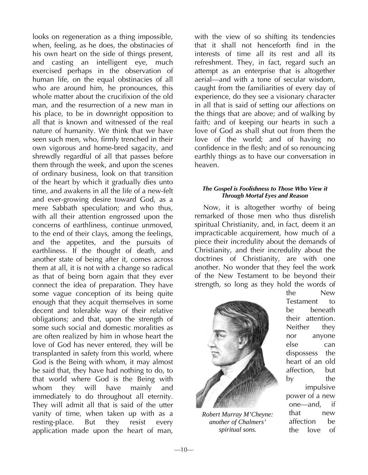looks on regeneration as a thing impossible, when, feeling, as he does, the obstinacies of his own heart on the side of things present, and casting an intelligent eye, much exercised perhaps in the observation of human life, on the equal obstinacies of all who are around him, he pronounces, this whole matter about the crucifixion of the old man, and the resurrection of a new man in his place, to be in downright opposition to all that is known and witnessed of the real nature of humanity. We think that we have seen such men, who, firmly trenched in their own vigorous and home-bred sagacity, and shrewdly regardful of all that passes before them through the week, and upon the scenes of ordinary business, look on that transition of the heart by which it gradually dies unto time, and awakens in all the life of a new-felt and ever-growing desire toward God, as a mere Sabbath speculation; and who thus, with all their attention engrossed upon the concerns of earthliness, continue unmoved, to the end of their clays, among the feelings, and the appetites, and the pursuits of earthliness. If the thought of death, and another state of being after it, comes across them at all, it is not with a change so radical as that of being born again that they ever connect the idea of preparation. They have some vague conception of its being quite enough that they acquit themselves in some decent and tolerable way of their relative obligations; and that, upon the strength of some such social and domestic moralities as are often realized by him in whose heart the love of God has never entered, they will be transplanted in safety from this world, where God is the Being with whom, it may almost be said that, they have had nothing to do, to that world where God is the Being with whom they will have mainly and immediately to do throughout all eternity. They will admit all that is said of the utter vanity of time, when taken up with as a resting-place. But they resist every application made upon the heart of man,

with the view of so shifting its tendencies that it shall not henceforth find in the interests of time all its rest and all its refreshment. They, in fact, regard such an attempt as an enterprise that is altogether aerial—and with a tone of secular wisdom, caught from the familiarities of every day of experience, do they see a visionary character in all that is said of setting our affections on the things that are above; and of walking by faith; and of keeping our hearts in such a love of God as shall shut out from them the love of the world; and of having no confidence in the flesh; and of so renouncing earthly things as to have our conversation in heaven.

# *The Gospel is Foolishness to Those Who View it Through Mortal Eyes and Reason*

Now, it is altogether worthy of being remarked of those men who thus disrelish spiritual Christianity, and, in fact, deem it an impracticable acquirement, how much of a piece their incredulity about the demands of Christianity, and their incredulity about the doctrines of Christianity, are with one another. No wonder that they feel the work of the New Testament to be beyond their strength, so long as they hold the words of



*Robert Murray M'Cheyne: another of Chalmers' spiritual sons.* 

the New Testament to be beneath their attention. Neither they nor anyone else can dispossess the heart of an old affection, but by the impulsive power of a new one—and, if that new affection be the love of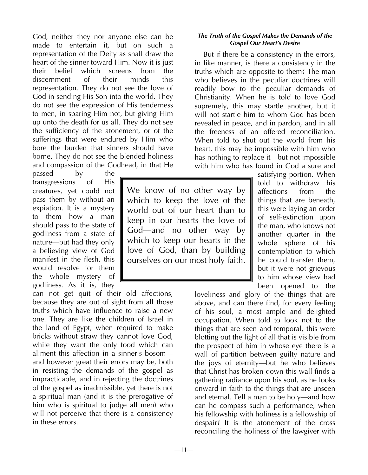God, neither they nor anyone else can be made to entertain it, but on such a representation of the Deity as shall draw the heart of the sinner toward Him. Now it is just their belief which screens from the discernment of their minds this representation. They do not see the love of God in sending His Son into the world. They do not see the expression of His tenderness to men, in sparing Him not, but giving Him up unto the death for us all. They do not see the sufficiency of the atonement, or of the sufferings that were endured by Him who bore the burden that sinners should have borne. They do not see the blended holiness and compassion of the Godhead, in that He

passed by the transgressions of His creatures, yet could not pass them by without an expiation. It is a mystery to them how a man should pass to the state of godliness from a state of nature—but had they only a believing view of God manifest in the flesh, this would resolve for them the whole mystery of godliness. As it is, they

can not get quit of their old affections, because they are out of sight from all those truths which have influence to raise a new one. They are like the children of Israel in the land of Egypt, when required to make bricks without straw they cannot love God, while they want the only food which can aliment this affection in a sinner's bosom and however great their errors may be, both in resisting the demands of the gospel as impracticable, and in rejecting the doctrines of the gospel as inadmissible, yet there is not a spiritual man (and it is the prerogative of him who is spiritual to judge all men) who will not perceive that there is a consistency in these errors.

We know of no other way by which to keep the love of the world out of our heart than to keep in our hearts the love of God—and no other way by which to keep our hearts in the love of God, than by building ourselves on our most holy faith.

# *The Truth of the Gospel Makes the Demands of the Gospel Our Heart's Desire*

But if there be a consistency in the errors, in like manner, is there a consistency in the truths which are opposite to them? The man who believes in the peculiar doctrines will readily bow to the peculiar demands of Christianity. When he is told to love God supremely, this may startle another, but it will not startle him to whom God has been revealed in peace, and in pardon, and in all the freeness of an offered reconciliation. When told to shut out the world from his heart, this may be impossible with him who has nothing to replace it—but not impossible with him who has found in God a sure and

> satisfying portion. When told to withdraw his affections from the things that are beneath, this were laying an order of self-extinction upon the man, who knows not another quarter in the whole sphere of his contemplation to which he could transfer them, but it were not grievous to him whose view had been opened to the

loveliness and glory of the things that are above, and can there find, for every feeling of his soul, a most ample and delighted occupation. When told to look not to the things that are seen and temporal, this were blotting out the light of all that is visible from the prospect of him in whose eye there is a wall of partition between guilty nature and the joys of eternity—but he who believes that Christ has broken down this wall finds a gathering radiance upon his soul, as he looks onward in faith to the things that are unseen and eternal. Tell a man to be holy—and how can he compass such a performance, when his fellowship with holiness is a fellowship of despair? It is the atonement of the cross reconciling the holiness of the lawgiver with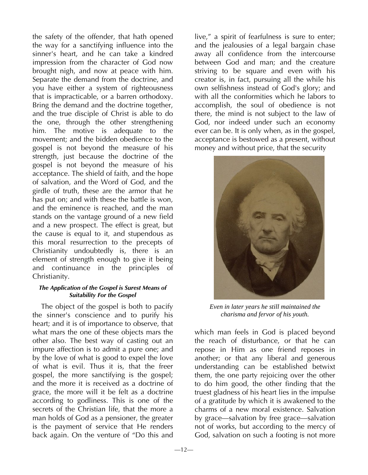the safety of the offender, that hath opened the way for a sanctifying influence into the sinner's heart, and he can take a kindred impression from the character of God now brought nigh, and now at peace with him. Separate the demand from the doctrine, and you have either a system of righteousness that is impracticable, or a barren orthodoxy. Bring the demand and the doctrine together, and the true disciple of Christ is able to do the one, through the other strengthening him. The motive is adequate to the movement; and the bidden obedience to the gospel is not beyond the measure of his strength, just because the doctrine of the gospel is not beyond the measure of his acceptance. The shield of faith, and the hope of salvation, and the Word of God, and the girdle of truth, these are the armor that he has put on; and with these the battle is won, and the eminence is reached, and the man stands on the vantage ground of a new field and a new prospect. The effect is great, but the cause is equal to it, and stupendous as this moral resurrection to the precepts of Christianity undoubtedly is, there is an element of strength enough to give it being and continuance in the principles of Christianity.

#### *The Application of the Gospel is Surest Means of Suitability For the Gospel*

The object of the gospel is both to pacify the sinner's conscience and to purify his heart; and it is of importance to observe, that what mars the one of these objects mars the other also. The best way of casting out an impure affection is to admit a pure one; and by the love of what is good to expel the love of what is evil. Thus it is, that the freer gospel, the more sanctifying is the gospel; and the more it is received as a doctrine of grace, the more will it be felt as a doctrine according to godliness. This is one of the secrets of the Christian life, that the more a man holds of God as a pensioner, the greater is the payment of service that He renders back again. On the venture of "Do this and

live," a spirit of fearfulness is sure to enter; and the jealousies of a legal bargain chase away all confidence from the intercourse between God and man; and the creature striving to be square and even with his creator is, in fact, pursuing all the while his own selfishness instead of God's glory; and with all the conformities which he labors to accomplish, the soul of obedience is not there, the mind is not subject to the law of God, nor indeed under such an economy ever can be. It is only when, as in the gospel, acceptance is bestowed as a present, without money and without price, that the security



*Even in later years he still maintained the charisma and fervor of his youth.* 

which man feels in God is placed beyond the reach of disturbance, or that he can repose in Him as one friend reposes in another; or that any liberal and generous understanding can be established betwixt them, the one party rejoicing over the other to do him good, the other finding that the truest gladness of his heart lies in the impulse of a gratitude by which it is awakened to the charms of a new moral existence. Salvation by grace—salvation by free grace—salvation not of works, but according to the mercy of God, salvation on such a footing is not more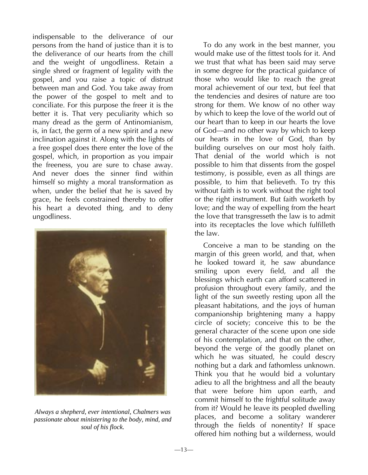indispensable to the deliverance of our persons from the hand of justice than it is to the deliverance of our hearts from the chill and the weight of ungodliness. Retain a single shred or fragment of legality with the gospel, and you raise a topic of distrust between man and God. You take away from the power of the gospel to melt and to conciliate. For this purpose the freer it is the better it is. That very peculiarity which so many dread as the germ of Antinomianism, is, in fact, the germ of a new spirit and a new inclination against it. Along with the lights of a free gospel does there enter the love of the gospel, which, in proportion as you impair the freeness, you are sure to chase away. And never does the sinner find within himself so mighty a moral transformation as when, under the belief that he is saved by grace, he feels constrained thereby to offer his heart a devoted thing, and to deny ungodliness.



*Always a shepherd, ever intentional, Chalmers was passionate about ministering to the body, mind, and soul of his flock.* 

To do any work in the best manner, you would make use of the fittest tools for it. And we trust that what has been said may serve in some degree for the practical guidance of those who would like to reach the great moral achievement of our text, but feel that the tendencies and desires of nature are too strong for them. We know of no other way by which to keep the love of the world out of our heart than to keep in our hearts the love of God—and no other way by which to keep our hearts in the love of God, than by building ourselves on our most holy faith. That denial of the world which is not possible to him that dissents from the gospel testimony, is possible, even as all things are possible, to him that believeth. To try this without faith is to work without the right tool or the right instrument. But faith worketh by love; and the way of expelling from the heart the love that transgresseth the law is to admit into its receptacles the love which fulfilleth the law.

Conceive a man to be standing on the margin of this green world, and that, when he looked toward it, he saw abundance smiling upon every field, and all the blessings which earth can afford scattered in profusion throughout every family, and the light of the sun sweetly resting upon all the pleasant habitations, and the joys of human companionship brightening many a happy circle of society; conceive this to be the general character of the scene upon one side of his contemplation, and that on the other, beyond the verge of the goodly planet on which he was situated, he could descry nothing but a dark and fathomless unknown. Think you that he would bid a voluntary adieu to all the brightness and all the beauty that were before him upon earth, and commit himself to the frightful solitude away from it? Would he leave its peopled dwelling places, and become a solitary wanderer through the fields of nonentity? If space offered him nothing but a wilderness, would